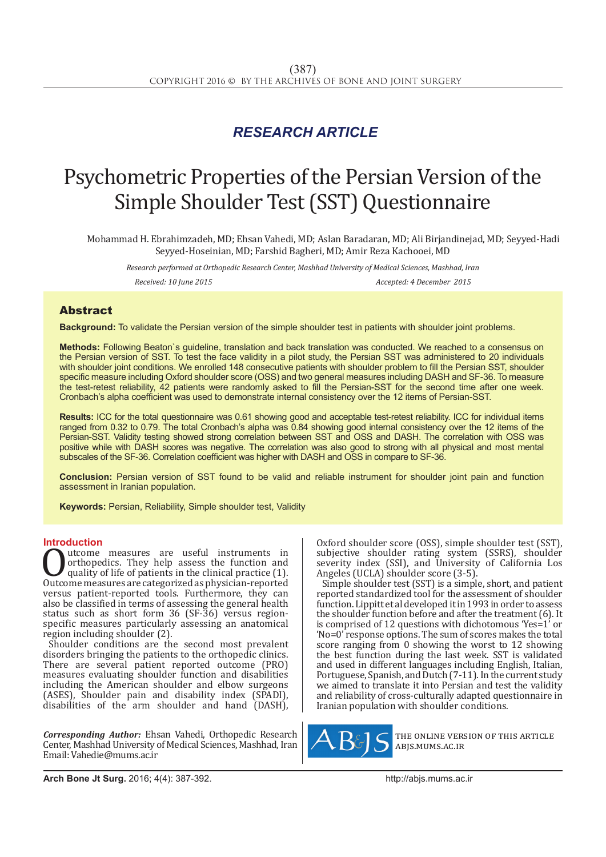## *RESEARCH ARTICLE*

# Psychometric Properties of the Persian Version of the Simple Shoulder Test (SST) Questionnaire

Mohammad H. Ebrahimzadeh, MD; Ehsan Vahedi, MD; Aslan Baradaran, MD; Ali Birjandinejad, MD; Seyyed-Hadi Seyyed-Hoseinian, MD; Farshid Bagheri, MD; Amir Reza Kachooei, MD

*Research performed at Orthopedic Research Center, Mashhad University of Medical Sciences, Mashhad, Iran Received: 10 June 2015 Accepted: 4 December 2015*

### Abstract

**Background:** To validate the Persian version of the simple shoulder test in patients with shoulder joint problems.

**Methods:** Following Beaton`s guideline, translation and back translation was conducted. We reached to a consensus on the Persian version of SST. To test the face validity in a pilot study, the Persian SST was administered to 20 individuals with shoulder joint conditions. We enrolled 148 consecutive patients with shoulder problem to fill the Persian SST, shoulder specific measure including Oxford shoulder score (OSS) and two general measures including DASH and SF-36. To measure the test-retest reliability, 42 patients were randomly asked to fill the Persian-SST for the second time after one week. Cronbach's alpha coefficient was used to demonstrate internal consistency over the 12 items of Persian-SST.

**Results:** ICC for the total questionnaire was 0.61 showing good and acceptable test-retest reliability. ICC for individual items ranged from 0.32 to 0.79. The total Cronbach's alpha was 0.84 showing good internal consistency over the 12 items of the Persian-SST. Validity testing showed strong correlation between SST and OSS and DASH. The correlation with OSS was positive while with DASH scores was negative. The correlation was also good to strong with all physical and most mental subscales of the SF-36. Correlation coefficient was higher with DASH and OSS in compare to SF-36.

**Conclusion:** Persian version of SST found to be valid and reliable instrument for shoulder joint pain and function assessment in Iranian population.

**Keywords:** Persian, Reliability, Simple shoulder test, Validity

**Introduction**<br> **A** utcome measures are useful instruments in Outcome measures are useful instruments in<br>
orthopedics. They help assess the function and<br>
quality of life of patients in the clinical practice (1).<br>
Outcome measures are categorized as physician-reported<br>
versus patientorthopedics. They help assess the function and quality of life of patients in the clinical practice (1). versus patient-reported tools. Furthermore, they can also be classified in terms of assessing the general health status such as short form 36 (SF-36) versus regionspecific measures particularly assessing an anatomical region including shoulder (2).

Shoulder conditions are the second most prevalent disorders bringing the patients to the orthopedic clinics. There are several patient reported outcome (PRO) measures evaluating shoulder function and disabilities including the American shoulder and elbow surgeons (ASES), Shoulder pain and disability index (SPADI), disabilities of the arm shoulder and hand (DASH),

*Corresponding Author:* Ehsan Vahedi, Orthopedic Research Center, Mashhad University of Medical Sciences, Mashhad, Iran Email: Vahedie@mums.ac.ir

Oxford shoulder score (OSS), simple shoulder test (SST), subjective shoulder rating system (SSRS), shoulder severity index (SSI), and University of California Los Angeles (UCLA) shoulder score (3-5).

Simple shoulder test (SST) is a simple, short, and patient reported standardized tool for the assessment of shoulder function. Lippitt et al developed it in 1993 in order to assess the shoulder function before and after the treatment (6). It is comprised of 12 questions with dichotomous 'Yes=1' or 'No=0' response options. The sum of scores makes the total score ranging from 0 showing the worst to 12 showing the best function during the last week. SST is validated and used in different languages including English, Italian, Portuguese, Spanish, and Dutch (7-11). In the current study we aimed to translate it into Persian and test the validity and reliability of cross-culturally adapted questionnaire in Iranian population with shoulder conditions.



the online version of this article abjs.mums.ac.ir

**Arch Bone Jt Surg.** 2016; 4(4): 387-392.http://abjs.mums.ac.ir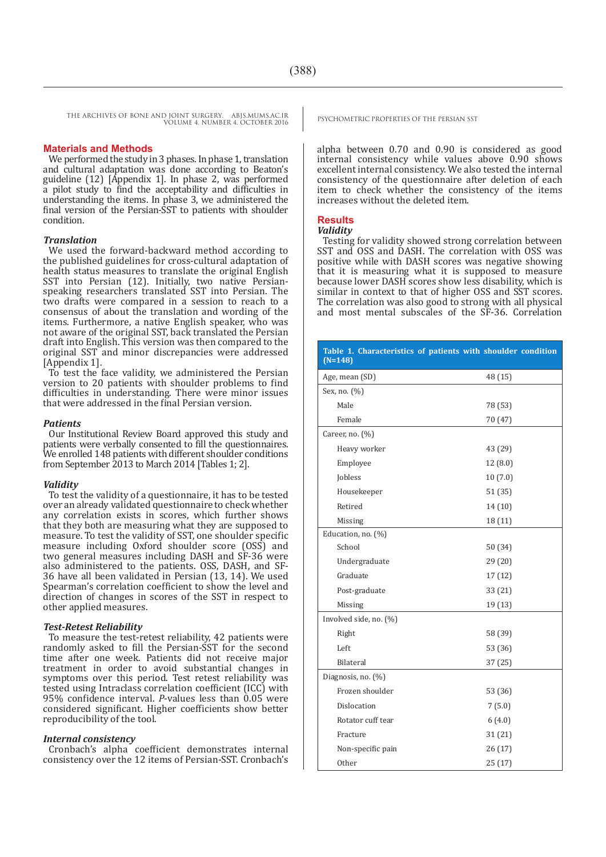#### **Materials and Methods**

We performed the study in 3 phases. In phase 1, translation and cultural adaptation was done according to Beaton's guideline (12) [Appendix 1]. In phase 2, was performed a pilot study to find the acceptability and difficulties in understanding the items. In phase 3, we administered the final version of the Persian-SST to patients with shoulder condition.

#### *Translation*

We used the forward-backward method according to the published guidelines for cross-cultural adaptation of health status measures to translate the original English SST into Persian (12). Initially, two native Persianspeaking researchers translated SST into Persian. The two drafts were compared in a session to reach to a consensus of about the translation and wording of the items. Furthermore, a native English speaker, who was not aware of the original SST, back translated the Persian draft into English. This version was then compared to the original SST and minor discrepancies were addressed [Appendix 1].

To test the face validity, we administered the Persian version to 20 patients with shoulder problems to find difficulties in understanding. There were minor issues that were addressed in the final Persian version.

#### *Patients*

Our Institutional Review Board approved this study and patients were verbally consented to fill the questionnaires. We enrolled 148 patients with different shoulder conditions from September 2013 to March 2014 [Tables 1; 2].

#### *Validity*

To test the validity of a questionnaire, it has to be tested over an already validated questionnaire to check whether any correlation exists in scores, which further shows that they both are measuring what they are supposed to measure. To test the validity of SST, one shoulder specific measure including Oxford shoulder score (OSS) and two general measures including DASH and SF-36 were also administered to the patients. OSS, DASH, and SF-36 have all been validated in Persian (13, 14). We used Spearman's correlation coefficient to show the level and direction of changes in scores of the SST in respect to other applied measures.

#### *Test-Retest Reliability*

To measure the test-retest reliability, 42 patients were randomly asked to fill the Persian-SST for the second time after one week. Patients did not receive major treatment in order to avoid substantial changes in symptoms over this period. Test retest reliability was tested using Intraclass correlation coefficient (ICC) with 95% confidence interval. *P*-values less than 0.05 were considered significant. Higher coefficients show better reproducibility of the tool.

#### *Internal consistency*

Cronbach's alpha coefficient demonstrates internal consistency over the 12 items of Persian-SST. Cronbach's

alpha between 0.70 and 0.90 is considered as good internal consistency while values above 0.90 shows excellent internal consistency. We also tested the internal consistency of the questionnaire after deletion of each item to check whether the consistency of the items increases without the deleted item.

#### **Results**

#### *Validity*

Testing for validity showed strong correlation between SST and OSS and DASH. The correlation with OSS was positive while with DASH scores was negative showing that it is measuring what it is supposed to measure because lower DASH scores show less disability, which is similar in context to that of higher OSS and SST scores. The correlation was also good to strong with all physical and most mental subscales of the SF-36. Correlation

| Table 1. Characteristics of patients with shoulder condition<br>$(N=148)$ |         |
|---------------------------------------------------------------------------|---------|
| Age, mean (SD)                                                            | 48 (15) |
| Sex, no. (%)                                                              |         |
| Male                                                                      | 78 (53) |
| Female                                                                    | 70 (47) |
| Career, no. (%)                                                           |         |
| Heavy worker                                                              | 43 (29) |
| Employee                                                                  | 12(8.0) |
| Jobless                                                                   | 10(7.0) |
| Housekeeper                                                               | 51 (35) |
| Retired                                                                   | 14(10)  |
| Missing                                                                   | 18 (11) |
| Education, no. (%)                                                        |         |
| School                                                                    | 50 (34) |
| Undergraduate                                                             | 29(20)  |
| Graduate                                                                  | 17(12)  |
| Post-graduate                                                             | 33(21)  |
| Missing                                                                   | 19 (13) |
| Involved side, no. (%)                                                    |         |
| Right                                                                     | 58 (39) |
| Left                                                                      | 53 (36) |
| Bilateral                                                                 | 37(25)  |
| Diagnosis, no. (%)                                                        |         |
| Frozen shoulder                                                           | 53 (36) |
| Dislocation                                                               | 7(5.0)  |
| Rotator cuff tear                                                         | 6(4.0)  |
| Fracture                                                                  | 31 (21) |
| Non-specific pain                                                         | 26 (17) |
| <b>Other</b>                                                              | 25(17)  |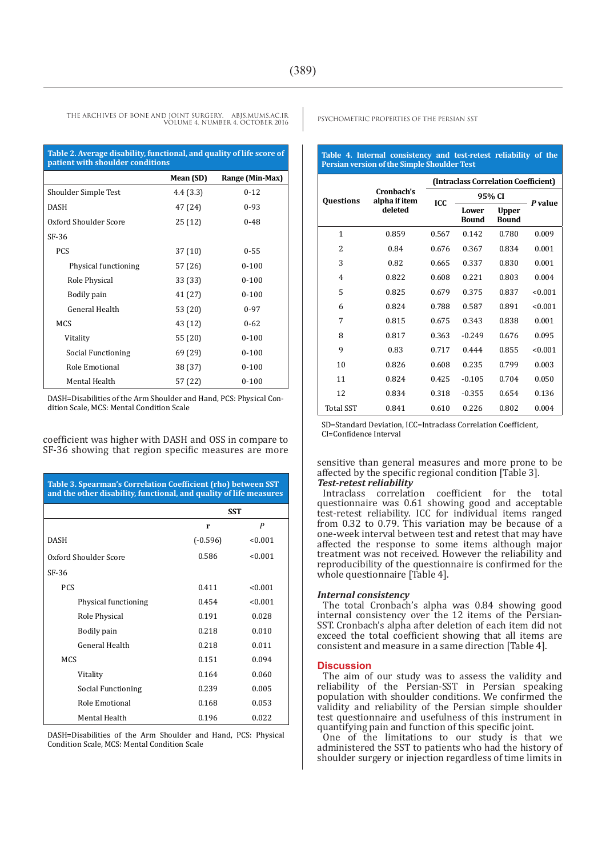| Table 2. Average disability, functional, and quality of life score of<br>patient with shoulder conditions |           |                 |  |
|-----------------------------------------------------------------------------------------------------------|-----------|-----------------|--|
|                                                                                                           | Mean (SD) | Range (Min-Max) |  |
| Shoulder Simple Test                                                                                      | 4.4(3.3)  | $0 - 12$        |  |
| <b>DASH</b>                                                                                               | 47 (24)   | $0 - 93$        |  |
| Oxford Shoulder Score                                                                                     | 25 (12)   | $0 - 48$        |  |
| SF-36                                                                                                     |           |                 |  |
| <b>PCS</b>                                                                                                | 37(10)    | $0 - 55$        |  |
| Physical functioning                                                                                      | 57 (26)   | $0 - 100$       |  |
| Role Physical                                                                                             | 33 (33)   | $0 - 100$       |  |
| Bodily pain                                                                                               | 41 (27)   | $0 - 100$       |  |
| General Health                                                                                            | 53 (20)   | $0 - 97$        |  |
| <b>MCS</b>                                                                                                | 43 (12)   | $0 - 62$        |  |
| Vitality                                                                                                  | 55 (20)   | $0 - 100$       |  |
| Social Functioning                                                                                        | 69 (29)   | $0 - 100$       |  |
| Role Emotional                                                                                            | 38 (37)   | $0 - 100$       |  |
| Mental Health                                                                                             | 57 (22)   | $0 - 100$       |  |

DASH=Disabilities of the Arm Shoulder and Hand, PCS: Physical Condition Scale, MCS: Mental Condition Scale

coefficient was higher with DASH and OSS in compare to SF-36 showing that region specific measures are more

| Table 3. Spearman's Correlation Coefficient (rho) between SST<br>and the other disability, functional, and quality of life measures |            |                  |  |  |
|-------------------------------------------------------------------------------------------------------------------------------------|------------|------------------|--|--|
|                                                                                                                                     | <b>SST</b> |                  |  |  |
|                                                                                                                                     | r          | $\boldsymbol{P}$ |  |  |
| <b>DASH</b>                                                                                                                         | $(-0.596)$ | < 0.001          |  |  |
| Oxford Shoulder Score                                                                                                               | 0.586      | < 0.001          |  |  |
| SF-36                                                                                                                               |            |                  |  |  |
| PCS                                                                                                                                 | 0.411      | < 0.001          |  |  |
| Physical functioning                                                                                                                | 0.454      | < 0.001          |  |  |
| Role Physical                                                                                                                       | 0.191      | 0.028            |  |  |
| Bodily pain                                                                                                                         | 0.218      | 0.010            |  |  |
| General Health                                                                                                                      | 0.218      | 0.011            |  |  |
| <b>MCS</b>                                                                                                                          | 0.151      | 0.094            |  |  |
| Vitality                                                                                                                            | 0.164      | 0.060            |  |  |
| Social Functioning                                                                                                                  | 0.239      | 0.005            |  |  |
| Role Emotional                                                                                                                      | 0.168      | 0.053            |  |  |
| Mental Health                                                                                                                       | 0.196      | 0.022            |  |  |

DASH=Disabilities of the Arm Shoulder and Hand, PCS: Physical Condition Scale, MCS: Mental Condition Scale

**Table 4. Internal consistency and test-retest reliability of the Persian version of the Simple Shoulder Test** 

|                  | (Intraclass Correlation Coefficient)   |            |                       |                              |         |
|------------------|----------------------------------------|------------|-----------------------|------------------------------|---------|
| <b>Ouestions</b> | Cronbach's<br>alpha if item<br>deleted | <b>ICC</b> | 95% CI                |                              |         |
|                  |                                        |            | Lower<br><b>Bound</b> | <b>Upper</b><br><b>Bound</b> | P value |
| $\mathbf{1}$     | 0.859                                  | 0.567      | 0.142                 | 0.780                        | 0.009   |
| $\overline{c}$   | 0.84                                   | 0.676      | 0.367                 | 0.834                        | 0.001   |
| 3                | 0.82                                   | 0.665      | 0.337                 | 0.830                        | 0.001   |
| $\overline{4}$   | 0.822                                  | 0.608      | 0.221                 | 0.803                        | 0.004   |
| 5                | 0.825                                  | 0.679      | 0.375                 | 0.837                        | < 0.001 |
| 6                | 0.824                                  | 0.788      | 0.587                 | 0.891                        | < 0.001 |
| 7                | 0.815                                  | 0.675      | 0.343                 | 0.838                        | 0.001   |
| 8                | 0.817                                  | 0.363      | $-0.249$              | 0.676                        | 0.095   |
| 9                | 0.83                                   | 0.717      | 0.444                 | 0.855                        | < 0.001 |
| 10               | 0.826                                  | 0.608      | 0.235                 | 0.799                        | 0.003   |
| 11               | 0.824                                  | 0.425      | $-0.105$              | 0.704                        | 0.050   |
| 12               | 0.834                                  | 0.318      | $-0.355$              | 0.654                        | 0.136   |
| <b>Total SST</b> | 0.841                                  | 0.610      | 0.226                 | 0.802                        | 0.004   |

SD=Standard Deviation, ICC=Intraclass Correlation Coefficient, CI=Confidence Interval

sensitive than general measures and more prone to be affected by the specific regional condition [Table 3]. *Test-retest reliability*

Intraclass correlation coefficient for the total questionnaire was 0.61 showing good and acceptable test-retest reliability. ICC for individual items ranged from 0.32 to 0.79. This variation may be because of a one-week interval between test and retest that may have affected the response to some items although major treatment was not received. However the reliability and reproducibility of the questionnaire is confirmed for the whole questionnaire [Table 4].

#### *Internal consistency*

The total Cronbach's alpha was 0.84 showing good internal consistency over the 12 items of the Persian-SST. Cronbach's alpha after deletion of each item did not exceed the total coefficient showing that all items are consistent and measure in a same direction [Table 4].

#### **Discussion**

The aim of our study was to assess the validity and reliability of the Persian-SST in Persian speaking population with shoulder conditions. We confirmed the validity and reliability of the Persian simple shoulder test questionnaire and usefulness of this instrument in quantifying pain and function of this specific joint.

One of the limitations to our study is that we administered the SST to patients who had the history of shoulder surgery or injection regardless of time limits in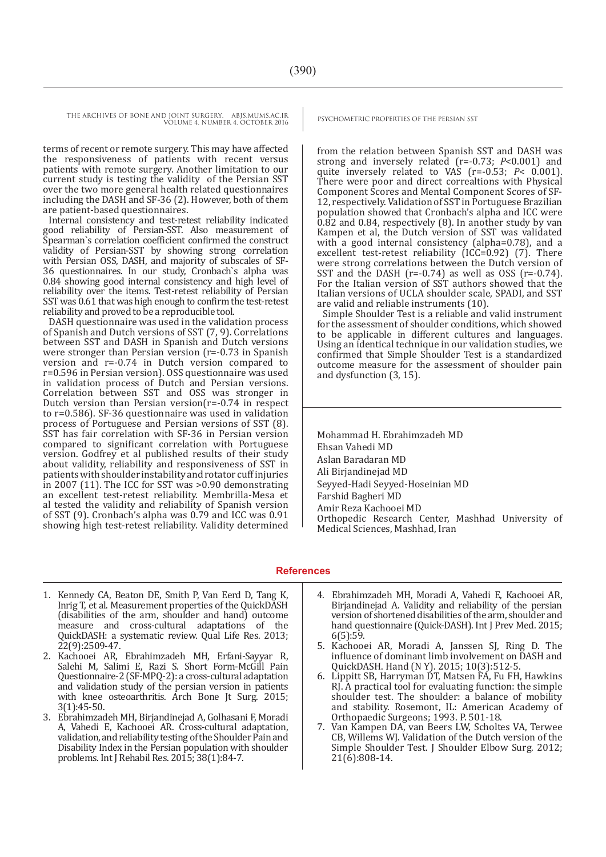terms of recent or remote surgery. This may have affected the responsiveness of patients with recent versus patients with remote surgery. Another limitation to our current study is testing the validity of the Persian SST over the two more general health related questionnaires including the DASH and SF-36 (2). However, both of them are patient-based questionnaires.

Internal consistency and test-retest reliability indicated good reliability of Persian-SST. Also measurement of Spearman`s correlation coefficient confirmed the construct validity of Persian-SST by showing strong correlation with Persian OSS, DASH, and majority of subscales of SF-36 questionnaires. In our study, Cronbach`s alpha was 0.84 showing good internal consistency and high level of reliability over the items. Test-retest reliability of Persian SST was 0.61 that was high enough to confirm the test-retest reliability and proved to be a reproducible tool.

DASH questionnaire was used in the validation process of Spanish and Dutch versions of SST (7, 9). Correlations between SST and DASH in Spanish and Dutch versions were stronger than Persian version (r=-0.73 in Spanish version and r=-0.74 in Dutch version compared to r=0.596 in Persian version). OSS questionnaire was used in validation process of Dutch and Persian versions. Correlation between SST and OSS was stronger in Dutch version than Persian version( $r=-0.74$  in respect to r=0.586). SF-36 questionnaire was used in validation process of Portuguese and Persian versions of SST (8). SST has fair correlation with SF-36 in Persian version compared to significant correlation with Portuguese version. Godfrey et al published results of their study about validity, reliability and responsiveness of SST in patients with shoulder instability and rotator cuff injuries in 2007 (11). The ICC for SST was >0.90 demonstrating an excellent test-retest reliability. Membrilla-Mesa et al tested the validity and reliability of Spanish version of SST (9). Cronbach's alpha was 0.79 and ICC was 0.91 showing high test-retest reliability. Validity determined

from the relation between Spanish SST and DASH was strong and inversely related (r=-0.73; *P*<0.001) and quite inversely related to VAS (r=-0.53; *P*< 0.001). There were poor and direct correaltions with Physical Component Scores and Mental Component Scores of SF-12, respectively. Validation of SST in Portuguese Brazilian population showed that Cronbach's alpha and ICC were 0.82 and 0.84, respectively (8). In another study by van Kampen et al, the Dutch version of SST was validated with a good internal consistency (alpha=0.78), and a excellent test-retest reliability  $(ICC=0.92)$  (7). There were strong correlations between the Dutch version of SST and the DASH ( $r=-0.74$ ) as well as OSS ( $r=-0.74$ ). For the Italian version of SST authors showed that the Italian versions of UCLA shoulder scale, SPADI, and SST are valid and reliable instruments (10).

Simple Shoulder Test is a reliable and valid instrument for the assessment of shoulder conditions, which showed to be applicable in different cultures and languages. Using an identical technique in our validation studies, we confirmed that Simple Shoulder Test is a standardized outcome measure for the assessment of shoulder pain and dysfunction (3, 15).

Mohammad H. Ebrahimzadeh MD Ehsan Vahedi MD Aslan Baradaran MD Ali Birjandinejad MD Seyyed-Hadi Seyyed-Hoseinian MD Farshid Bagheri MD Amir Reza Kachooei MD Orthopedic Research Center, Mashhad University of Medical Sciences, Mashhad, Iran

#### **References**

- 1. Kennedy CA, Beaton DE, Smith P, Van Eerd D, Tang K, Inrig T, et al. Measurement properties of the QuickDASH (disabilities of the arm, shoulder and hand) outcome measure and cross-cultural adaptations of the QuickDASH: a systematic review. Qual Life Res. 2013; 22(9):2509-47.
- 2. Kachooei AR, Ebrahimzadeh MH, Erfani-Sayyar R, Salehi M, Salimi E, Razi S. Short Form-McGill Pain Questionnaire-2 (SF-MPQ-2): a cross-cultural adaptation and validation study of the persian version in patients with knee osteoarthritis. Arch Bone Jt Surg. 2015; 3(1):45-50.
- 3. Ebrahimzadeh MH, Birjandinejad A, Golhasani F, Moradi A, Vahedi E, Kachooei AR. Cross-cultural adaptation, validation, and reliability testing of the Shoulder Pain and Disability Index in the Persian population with shoulder problems. Int J Rehabil Res. 2015; 38(1):84-7.
- 4. Ebrahimzadeh MH, Moradi A, Vahedi E, Kachooei AR, Birjandinejad A. Validity and reliability of the persian version of shortened disabilities of the arm, shoulder and hand questionnaire (Quick-DASH). Int J Prev Med. 2015; 6(5):59.
- 5. Kachooei AR, Moradi A, Janssen SJ, Ring D. The influence of dominant limb involvement on DASH and QuickDASH. Hand (N Y). 2015; 10(3):512-5.
- 6. Lippitt SB, Harryman DT, Matsen FA, Fu FH, Hawkins RJ. A practical tool for evaluating function: the simple shoulder test. The shoulder: a balance of mobility and stability. Rosemont, IL: American Academy of Orthopaedic Surgeons; 1993. P. 501-18.
- 7. Van Kampen DA, van Beers LW, Scholtes VA, Terwee CB, Willems WJ. Validation of the Dutch version of the Simple Shoulder Test. J Shoulder Elbow Surg. 2012; 21(6):808-14.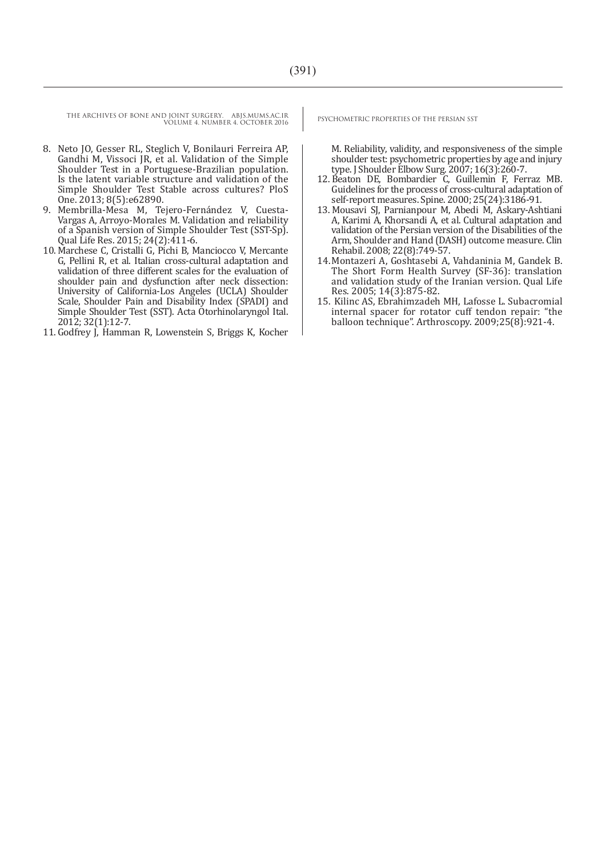- 8. Neto JO, Gesser RL, Steglich V, Bonilauri Ferreira AP, Gandhi M, Vissoci JR, et al. Validation of the Simple Shoulder Test in a Portuguese-Brazilian population. Is the latent variable structure and validation of the Simple Shoulder Test Stable across cultures? PloS One. 2013; 8(5):e62890.
- 9. Membrilla-Mesa M, Tejero-Fernández V, Cuesta-Vargas A, Arroyo-Morales M. Validation and reliability of a Spanish version of Simple Shoulder Test (SST-Sp). Qual Life Res. 2015; 24(2):411-6.
- 10. Marchese C, Cristalli G, Pichi B, Manciocco V, Mercante G, Pellini R, et al. Italian cross-cultural adaptation and validation of three different scales for the evaluation of shoulder pain and dysfunction after neck dissection: University of California-Los Angeles (UCLA) Shoulder Scale, Shoulder Pain and Disability Index (SPADI) and Simple Shoulder Test (SST). Acta Otorhinolaryngol Ital. 2012; 32(1):12-7.
- 11. Godfrey J, Hamman R, Lowenstein S, Briggs K, Kocher

M. Reliability, validity, and responsiveness of the simple shoulder test: psychometric properties by age and injury type. J Shoulder Elbow Surg. 2007; 16(3):260-7.

- 12. Beaton DE, Bombardier C, Guillemin F, Ferraz MB. Guidelines for the process of cross-cultural adaptation of self-report measures. Spine. 2000; 25(24):3186-91.
- 13. Mousavi SJ, Parnianpour M, Abedi M, Askary-Ashtiani A, Karimi A, Khorsandi A, et al. Cultural adaptation and validation of the Persian version of the Disabilities of the Arm, Shoulder and Hand (DASH) outcome measure. Clin Rehabil. 2008; 22(8):749-57.
- 14.Montazeri A, Goshtasebi A, Vahdaninia M, Gandek B. The Short Form Health Survey (SF-36): translation and validation study of the Iranian version. Qual Life Res. 2005; 14(3):875-82.
- 15. Kilinc AS, Ebrahimzadeh MH, Lafosse L. Subacromial internal spacer for rotator cuff tendon repair: "the balloon technique". Arthroscopy. 2009;25(8):921-4.